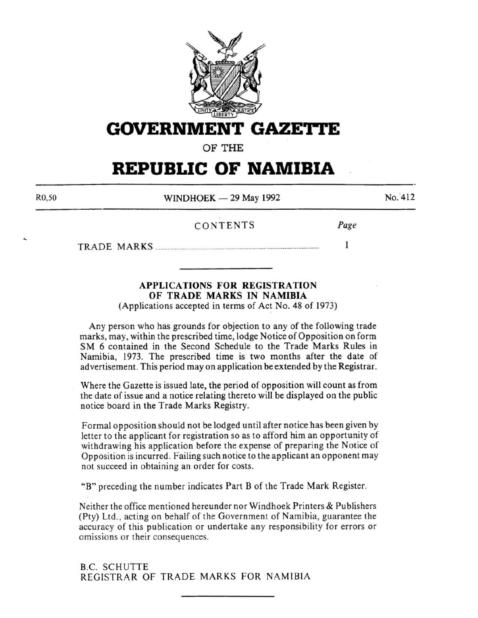

**GOVERNMENT GAZE'ri'E** 

**OF THE** 

# **REPUBLIC OF NAMIBIA**

R0,50

 $WINDHOEK - 29$  May 1992

 $No. 412$ 

*Page* 

 $\mathbf{1}$ 

## CONTENTS

TRADE MARKS .............................................................................................. .

**APPLICATIONS FOR REGISTRATION OF TRADE MARKS IN NAMIBIA** 

(Applications accepted in terms of Act No. 48 of 1973)

Any person who has grounds for objection to any of the following trade marks, may, within the prescribed time, lodge Notice of Opposition on form SM 6 contained in the Second Schedule to the Trade Marks Rules in Namibia, 1973. The prescribed time is two months after the date of advertisement. This period may on application be extended by the Registrar.

Where the Gazette is issued late, the period of opposition will count as from the date of issue and a notice relating thereto will be displayed on the public notice board in the Trade Marks Registry.

Formal opposition should not be lodged until after notice has been given by letter to the applicant for registration so as to afford him an opportunity of withdrawing his application before the expense of preparing the Notice of Opposition is incurred. Failing such notice to the applicant an opponent may not succeed in obtaining an order for costs.

"B" preceding the number indicates Part B of the Trade Mark Register.

Neither the office mentioned hereunder nor Windhoek Printers & Publishers (Pty) Ltd., acting on behalf of the Government of Namibia, guarantee the accuracy of this publication or undertake any responsibility for errors or omissions or their consequences.

B.C. SCHUTTE REGISTRAR OF TRADE MARKS FOR NAMIBIA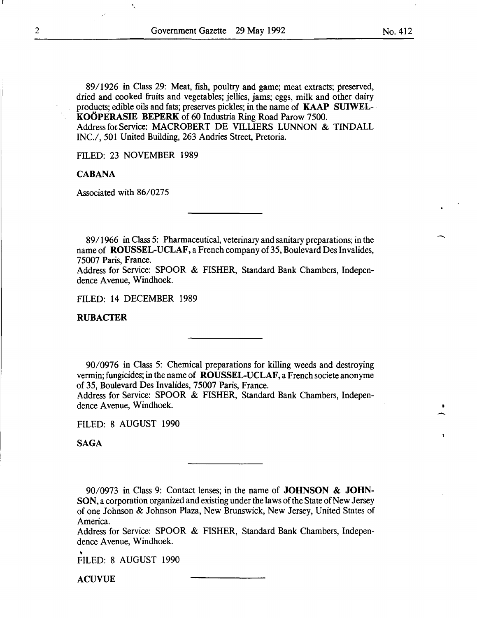89/1926 in Class 29: Meat, fish, poultry and game; meat extracts; preserved, dried and cooked fruits and vegetables; jellies, jams; eggs, milk and other dairy products; edible oils and fats; preserves pickles; in the name of KAAP SUIWEL-KOÖPERASIE BEPERK of 60 Industria Ring Road Parow 7500. Address for Service: MACROBERT DE VILLIERS LUNNON & TINDALL INC./, 501 United Building, 263 Andries Street, Pretoria.

FILED: 23 NOVEMBER 1989

'.

## **CABANA**

Associated with 86/0275

89/1966 in Class 5: Pharmaceutical, veterinary and sanitary preparations; in the name of ROUSSEL-UCLAF, a French company of 35, Boulevard Des Invalides, 75007 Paris, France.

Address for Service: SPOOR & FISHER, Standard Bank Chambers, Independence Avenue, Windhoek.

FILED: 14 DECEMBER 1989

## RUBACTER

90/0976 in Class 5: Chemical preparations for killing weeds and destroying vermin; fungicides; in the name of ROUSSEL-UCLAF, a French societe anonyme of 35, Boulevard Des Invalides, 75007 Paris, France.

Address for Service: SPOOR & FISHER, Standard Bank Chambers, Independence Avenue, Windhoek.

FILED: 8 AUGUST 1990

SAGA

90/0973 in Class 9: Contact lenses; in the name of JOHNSON & JOHN-SON, a corporation organized and existing under the laws of the State of New Jersey of one Johnson & Johnson Plaza, New Brunswick, New Jersey, United States of America.

Address for Service: SPOOR & FISHER, Standard Bank Chambers, Independence Avenue, Windhoek.

FILED: 8 AUGUST 1990

ACUVUE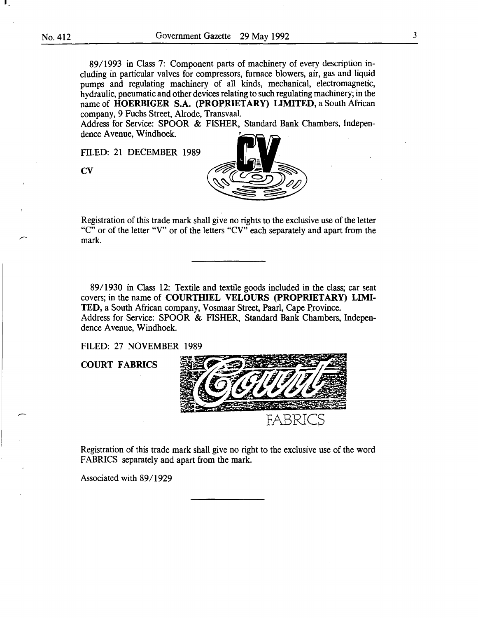89/1993 in Class 7: Component parts of machinery of every description including in particular valves for compressors, furnace blowers, air, gas and liquid pumps and regulating machinery of all kinds, mechanical, electromagnetic, hydraulic, pneumatic and other devices relating to such regulating machinery; in the name of **HOERBIGER** S.A. **(PROPRIETARY) LIMITED,** a South African company, 9 Fuchs Street, Alrode, Transvaal.

Address for Service: SPOOR & FISHER, Standard Bank Chambers, Independence Avenue, Windhoek.

FILED: 21 DECEMBER 1989





Registration of this trade mark shall give no rights to the exclusive use of the letter "C" or of the letter "V" or of the letters "CV" each separately and apart from the mark.

8911930 in Class 12: Textile and textile goods included in the class; car seat covers; in the name of **COURTHIEL VELOURS** (PROPRIETARY) LIMI-**TED,** a South African company, Vosmaar Street, Paarl, Cape Province. Address for Service: SPOOR & FISHER, Standard Bank Chambers, Independence Avenue, Windhoek.

FILED: 27 NOVEMBER 1989

**COURT FABRICS** 



Registration of this trade mark shall give no right to the exclusive use of the word FABRICS separately and apart from the mark.

Associated with 89/1929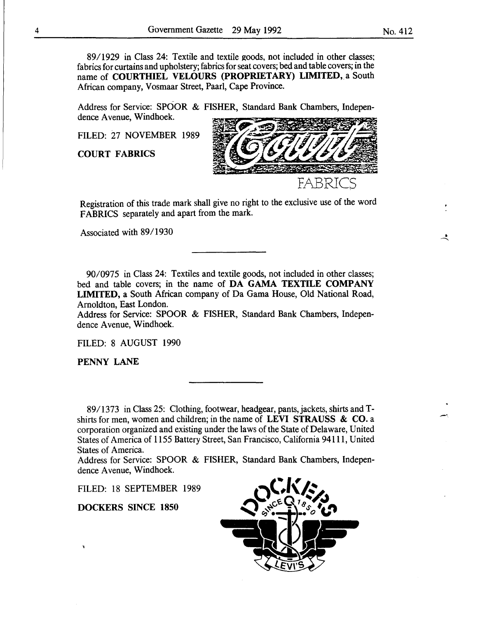89/1929 in Class 24: Textile and textile goods, not included in other classes; fabrics for curtains and upholstery; fabrics for seat covers; bed and table covers; in the name of COURTHIEL VELOURS (PROPRIETARY) LIMITED, a South African company, Vosmaar Street, Paarl, Cape Province.

Address for Service: SPOOR & FISHER, Standard Bank Chambers, Independence Avenue, Windhoek.

FILED: 27 NOVEMBER 1989

COURT FABRICS



Registration of this trade mark shall give no right to the exclusive use of the word FABRICS separately and apart from the mark.

Associated with 89/1930

90/0975 in Class 24: Textiles and textile goods, not included in other classes; bed and table covers; in the name of DA GAMA TEXTILE COMPANY LIMITED, a South African company of Da Gama House, Old National Road, Arnoldton, East London.

Address for Service: SPOOR & FISHER, Standard Bank Chambers, Independence Avenue, Windhoek.

FILED: 8 AUGUST 1990

PENNY LANE

89/1373 in Class 25: Clothing, footwear, headgear, pants, jackets, shirts and Tshirts for men, women and children; in the name of LEVI STRAUSS  $\&$  CO. a corporation organized and existing under the laws of the State of Delaware, United States of America of 1155 Battery Street, San Francisco, California 94111, United States of America.

Address for Service: SPOOR & FISHER, Standard Bank Chambers, Independence Avenue, Windhoek.

FILED: 18 SEPTEMBER 1989

DOCKERS SINCE 1850



-·

 $\mathbf{r}$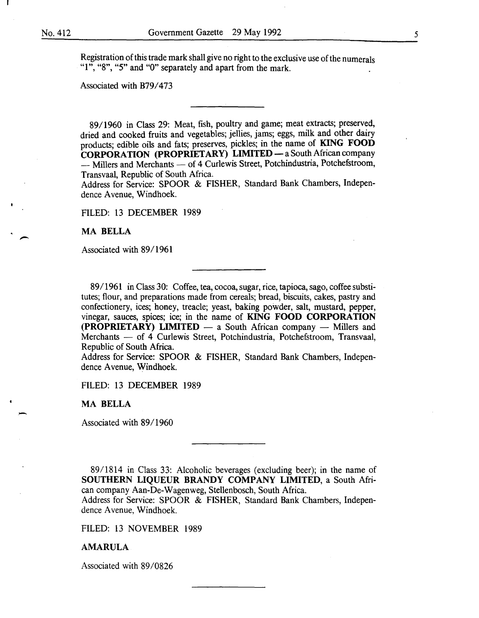-

-

Registration of this trade mark shall give no right to the exclusive use of the numerals "1", "8", "5" and "0" separately and apart from the mark.

Associated with B79/473

89/1960 in Class 29: Meat, fish, poultry and game; meat extracts; preserved, dried and cooked fruits and vegetables; jellies, jams; eggs, milk and other dairy products; edible oils and fats; preserves, pickles; in the name of KING FOOD CORPORATION (PROPRIETARY) LIMITED - a South African company - Millers and Merchants - of 4 Curlewis Street, Potchindustria, Potchefstroom, Transvaal, Republic of South Africa.

Address for Service: SPOOR & FISHER, Standard Bank Chambers, Independence Avenue, Windhoek.

FILED: 13 DECEMBER 1989

MA BELLA

Associated with 89/1961

89/1961 in Class 30: Coffee, tea, cocoa, sugar, rice, tapioca, sago, coffee substitutes; flour, and preparations made from cereals; bread, biscuits, cakes, pastry and confectionery, ices; honey, treacle; yeast, baking powder, salt, mustard, pepper, vinegar, sauces, spices; ice; in the name of KING FOOD CORPORATION  $(PROPRIETARY)$  LIMITED  $-$  a South African company  $-$  Millers and Merchants - of 4 Curlewis Street, Potchindustria, Potchefstroom, Transvaal, Republic of South Africa.

Address for Service: SPOOR & FISHER, Standard Bank Chambers, Independence A venue, Windhoek.

FILED: 13 DECEMBER 1989

MA BELLA

Associated with 89/1960

89/1814 in Class 33: Alcoholic beverages (excluding beer); in the name of SOUTHERN LIQUEUR BRANDY COMPANY LIMITED, a South African company Aan-De-Wagenweg, Stellenbosch, South Africa. Address for Service: SPOOR & FISHER, Standard Bank Chambers, Independence Avenue, Windhoek.

FILED: 13 NOVEMBER 1989

#### AMARULA

Associated with 89/0826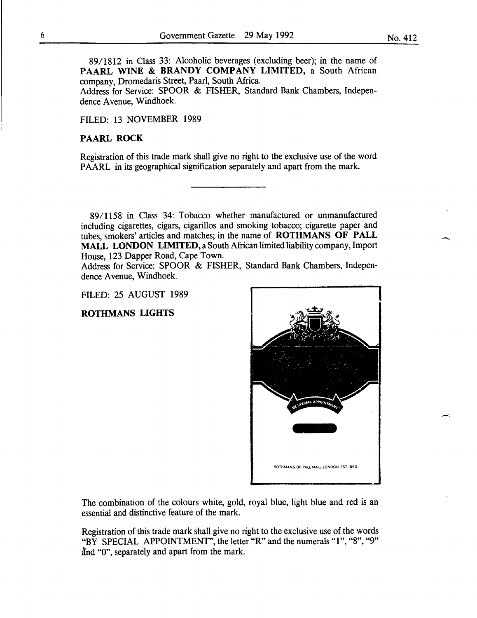89/1812 in Class 33: Alcoholic beverages (excluding beer); in the name of PAARL WINE & BRANDY COMPANY LIMITED, a South African company, Dromedaris Street, Paarl, South Africa.

Address for Service: SPOOR & FISHER, Standard Bank Chambers, Independence Avenue, Windhoek.

## FILED: 13 NOVEMBER 1989

#### PAARL ROCK

Registration of this trade mark shall give no right to the exclusive use of the word PAARL in its geographical signification separately and apart from the mark.

89/1158 in Class 34: Tobacco whether manufactured or unmanufactured including cigarettes, cigars, cigarillos and smoking tobacco; cigarette paper and tubes, smokers' articles and matches; in the name of ROTHMANS OF PALL MALL LONDON LIMITED, a South African limited liability company, Import House, 123 Dapper Road, Cape Town.

Address for Service: SPOOR & FISHER, Standard Bank Chambers, Independence Avenue, Windhoek.

FILED: 25 AUGUST 1989

## ROTHMANS LIGHTS



The combination of the colours white, gold, royal blue, light blue and red is an essential and distinctive feature of the mark.

Registration of this trade mark shall give no right to the exclusive use of the words "BY SPECIAL APPOINTMENT", the letter "R" and the numerals "1", "8", "9" and "0", separately and apart from the mark.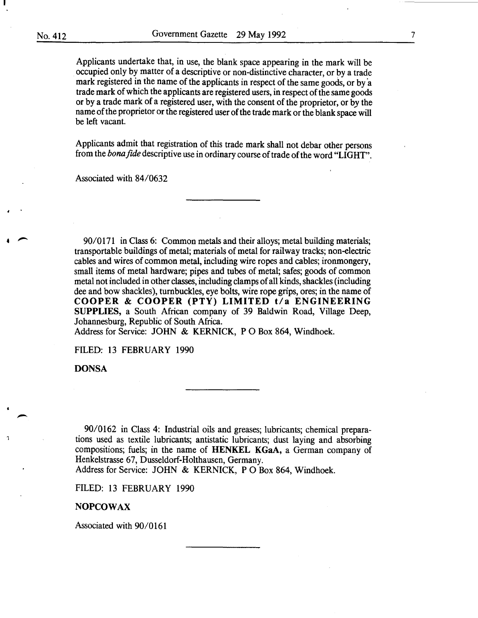Applicants undertake that, in use, the blank space appearing in the mark will be occupied only by matter of a descriptive or non-distinctive character, or by a trade mark registered in the name of the applicants in respect of the same goods, or by a trade mark of which the applicants are registered users, in respect of the same goods or by a trade mark of a registered user, with the consent of the proprietor, or by the name of the proprietor or the registered user of the trade mark or the blank space will be left vacant.

Applicants admit that registration of this trade mark shall not debar other persons from the *bona fide* descriptive use in ordinary course of trade of the word "LIGHT".

Associated with 84/0632

90/0171 in Class 6: Common metals and their alloys; metal building materials; transportable buildings of metal; materials of metal for railway tracks; non-electric cables and wires of common metal, including wire ropes and cables; ironmongery, small items of metal hardware; pipes and tubes of metal; safes; goods of common metal not included in other classes, including clamps of all kinds, shackles (including dee and bow shackles), turnbuckles, eye bolts, wire rope grips, ores; in the name of COOPER & COOPER (PTY) LIMITED t/a ENGINEERING SUPPLIES, a South African company of 39 Baldwin Road, Village Deep, Johannesburg, Republic of South Africa.

Address for Service: JOHN & KERNICK, PO Box 864, Windhoek.

FILED: 13 FEBRUARY 1990

**DONSA** 

-

90/0162 in Class 4: Industrial oils and greases; lubricants; chemical preparations used as textile lubricants; antistatic lubricants; dust laying and absorbing compositions; fuels; in the name of HENKEL KGaA, a German company of Henkelstrasse 67, Dusseldorf-Holthausen, Germany.

Address for Service: JOHN & KERNICK, PO Box 864, Windhoek.

FILED: 13 FEBRUARY 1990

#### NOPCOWAX

Associated with 90/0161

7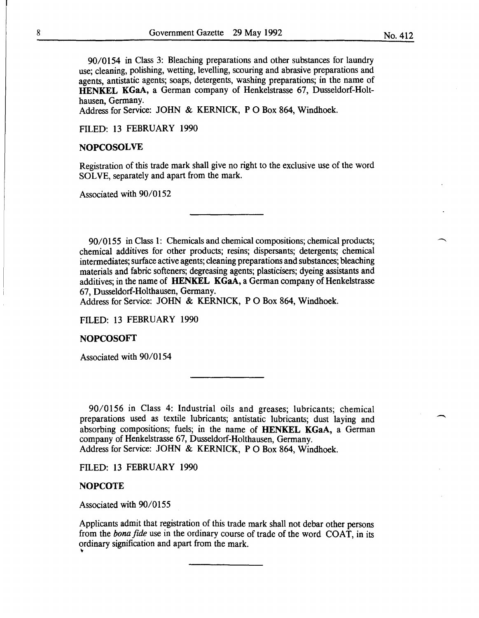90/0154 in Class 3: Bleaching preparations and other substances for laundry

use; cleaning, polishing, wetting, levelling, scouring and abrasive preparations and agents, antistatic agents; soaps, detergents, washing preparations; in the name of HENKEL KGaA, a German company of Henkelstrasse 67, Dusseldorf-Holthausen, Germany.

Address for Service: JOHN & KERNICK, P 0 Box 864, Windhoek.

FILED: 13 FEBRUARY 1990

## **NOPCOSOLVE**

Registration of this trade mark shall give no right to the exclusive use of the word SOLVE, separately and apart from the mark.

Associated with 90/0152

90/0155 in Class 1: Chemicals and chemical compositions; chemical products; chemical additives for other products; resins; dispersants; detergents; chemical intermediates; surface active agents; cleaning preparations and substances; bleaching materials and fabric softeners; degreasing agents; plasticisers; dyeing assistants and additives; in the name of HENKEL KGaA, a German company of Henkelstrasse 67, Dusseldorf-Holthausen, Germany.

Address for Service: JOHN & KERNICK, P 0 Box 864, Windhoek.

FILED: 13 FEBRUARY 1990

## NOPCOSOFT

Associated with 90/0154

90/0156 in Class 4: Industrial oils and greases; lubricants; chemical preparations used as textile lubricants; antistatic lubricants; dust laying and absorbing compositions; fuels; in the name of HENKEL KGaA, a German company of Henkelstrasse 67, Dusseldorf-Holthausen, Germany. Address for Service: JOHN & KERNICK, P 0 Box 864, Windhoek.

FILED: 13 FEBRUARY 1990

## **NOPCOTE**

Associated with 90/0155

Applicants admit that registration of this trade mark shall not debar other persons from the *bona fide* use in the ordinary course of trade of the word COAT, in its ordinary signification and apart from the mark. ~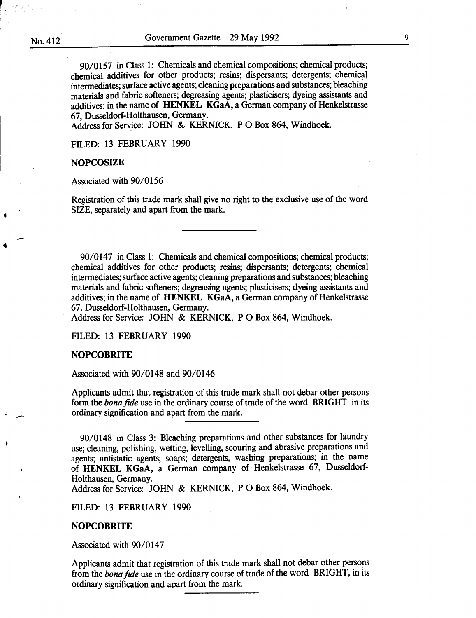•

90/0157 in Class 1: Chemicals and chemical compositions; chemical products; chemical additives for other products; resins; dispersants; detergents; chemical intermediates; surface active agents; cleaning preparations and substances; bleaching materials and fabric softeners; degreasing agents; plasticisers; dyeing assistants and additives; in the name of HENKEL KGaA, a German company of Henkelstrasse 67, Dusseldorf-Holthausen, Germany.

Address for Service: JOHN & KERNICK, P 0 Box 864, Windhoek.

FILED: 13 FEBRUARY 1990

#### **NOPCOSIZE**

Associated with 90/0156

Registration of this trade mark shall give no right to the exclusive use of the word SIZE, separately and apart from the mark.

90/0147 in Class 1: Chemicals and chemical compositions; chemical products; chemical additives for other products; resins; dispersants; detergents; chemical intermediates; surface active agents; cleaning preparations and substances; bleaching materials and fabric softeners; degreasing agents; plasticisers; dyeing assistants and additives; in the name of HENKEL KGaA, a German company of Henkelstrasse 67, Dusseldorf-Holthausen, Germany. .

Address for Service: JOHN & KERNICK, P 0 Box 864, Windhoek.

FILED: 13 FEBRUARY 1990

#### NOPCOBRITE

Associated with 90/0148 and 90/0146

Applicants admit that registration of this trade mark shall not debar other persons form the *bonafide* use in the ordinary course of trade of the word BRIGHT in its ordinary signification and apart from the mark.

90/0148 in Class 3: Bleaching preparations and other substances for laundry use; cleaning, polishing, wetting, levelling, scouring and abrasive preparations and agents; antistatic agents; soaps; detergents, washing preparations; in the name of HENKEL KGaA, a German company of Henkelstrasse 67, Dusseldorf-Holthausen, Germany.

Address for Service: JOHN & KERNICK, PO Box 864, Windhoek.

FILED: 13 FEBRUARY 1990

## **NOPCOBRITE**

Associated with 90/0147

Applicants admit that registration of this trade mark shall not debar other persons from the *bonafide* use in the ordinary course of trade of the word BRIGHT, in its ordinary signification and apart from the mark.

9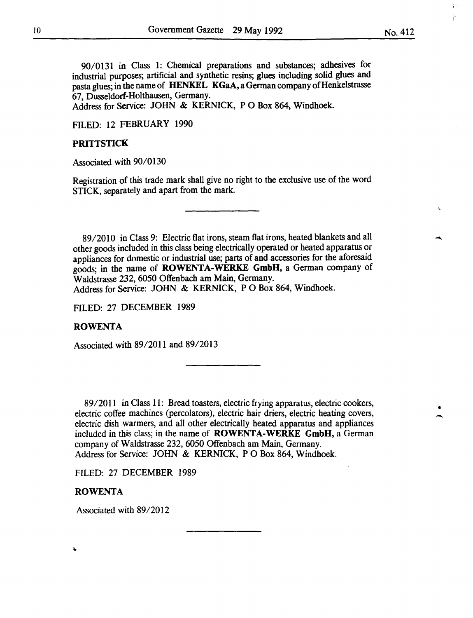90/0131 in Class 1: Chemical preparations and substances; adhesives for industrial purposes; artificial and synthetic resins; glues including solid glues and pasta glues; in the name of HENKEL KGaA, a German company of Henkelstrasse 67, Dusseldorf-Holthausen, Germany.

Address for Service: JOHN & KERNICK, PO Box 864, Windhoek.

FILED: 12 FEBRUARY 1990

## **PRITTSTICK**

Associated with 90/0130

Registration of this trade mark shall give no right to the exclusive use of the word STICK, separately and apart from the mark.

89/2010 in Class 9: Electric flat irons, steam flat irons, heated blankets and all other goods included in this class being electrically operated or heated apparatus or appliances for domestic or industrial use; parts of and accessories for the aforesaid goods; in the name of ROWENTA-WERKE GmbH, a German company of Waldstrasse 232, 6050 Offenbach am Main, Germany.

Address for Service: JOHN & KERNICK, P 0 Box 864, Windhoek.

FILED: 27 DECEMBER 1989

#### ROWENTA

Associated with 89/2011 and 89/2013

89/2011 in Class 11: Bread toasters, electric frying apparatus, electric cookers, electric coffee machines (percolators), electric hair driers, electric heating covers, electric dish warmers, and all other electrically heated apparatus and appliances included in this class; in the name of ROWENTA-WERKE GmbH, a German company of Waldstrasse 232, 6050 Offenbach am Main, Germany. Address for Service: JOHN & KERNICK, P 0 Box 864, Windhoek.

FILED: 27 DECEMBER 1989

## ROWENTA

Associated with 89/2012

• -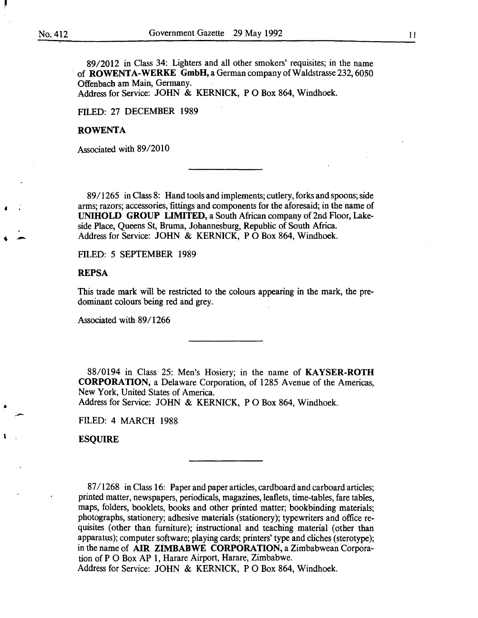•

•

8912012 in Class 34: Lighters and all other smokers' requisites; in the name of **ROWENTA-WERKE** GmbH, a German company of Waldstrasse  $232,6050$ Offenbach am Main, Germany. Address for Service: JOHN & KERNICK, P 0 Box 864, Windhoek.

FILED: 27 DECEMBER 1989

#### ROWENTA

Associated with 89/2010

89/1265 in Class 8: Hand tools and implements; cutlery, forks and spoons; side arms; razors; accessories, fittings and components for the aforesaid; in the name of UNIHOLD GROUP LIMITED, a South African company of 2nd Floor, Lakeside Place, Queens St, Bruma, Johannesburg, Republic of South Africa. Address for Service: JOHN & KERNICK, P 0 Box 864, Windhoek.

FILED: 5 SEPTEMBER 1989

## **REPSA**

This trade mark will be restricted to the colours appearing in the mark, the predominant colours being red and grey.

Associated with 89/1266

88/0194 in Class 25: Men's Hosiery; in the name of KAYSER-ROTH CORPORATION, a Delaware Corporation, of 1285 Avenue of the Americas, New York, United States of America.

Address for Service: JOHN & KERNICK, P O Box 864, Windhoek.

FILED: 4 MARCH 1988

ESQUIRE

87 I 1268 in Class 16: Paper and paper articles, cardboard and carboard articles; printed matter, newspapers, periodicals, magazines, leaflets, time-tables, fare tables, maps, folders, booklets, books and other printed matter; bookbinding materials; photographs, stationery; adhesive materials (stationery); typewriters and office requisites (other than furniture); instructional and teaching material (other than apparatus); computer software; playing cards; printers' type and cliches (sterotype); in the name of AIR ZIMBABWE CORPORATION, a Zimbabwean Corporation of P 0 Box AP 1, Harare Airport, Harare, Zimbabwe. Address for Service: JOHN & KERNICK, P 0 Box 864, Windhoek.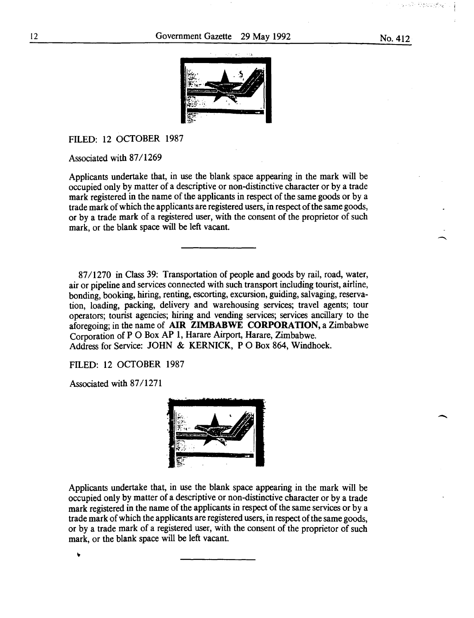

FILED: 12 OCTOBER 1987

Associated with 87/1269

Applicants undertake that, in use the blank space appearing in the mark will be occupied only by matter of a descriptive or non-distinctive character or by a trade mark registered in the name of the applicants in respect of the same goods or by a trade mark of which the applicants are registered users, in respect of the same goods, or by a trade mark of a registered user, with the consent of the proprietor of such mark, or the blank space will be left vacant.

87/1270 in Class 39: Transportation of people and goods by rail, road, water, air or pipeline and services connected with such transport including tourist, airline, bonding, booking, hiring, renting, escorting, excursion, guiding, salvaging, reservation, loading, packing, delivery and warehousing services; travel agents; tour operators; tourist agencies; hiring and vending services; services ancillary to the aforegoing; in the name of **AIR ZIMBABWE CORPORATION,** a Zimbabwe Corporation of P 0 Box AP 1, Harare Airport, Harare, Zimbabwe. Address for Service: JOHN & KERNICK, P 0 Box 864, Windhoek.

FILED: 12 OCTOBER 1987

Associated with 87/1271

٧



Applicants undertake that, in use the blank space appearing in the mark will be occupied only by matter of a descriptive or non-distinctive character or by a trade mark registered in the name of the applicants in respect of the same services or by a trade mark of which the applicants are registered users, in respect of the same goods, or by a trade mark of a registered user, with the consent of the proprietor of such mark, or the blank space will be left vacant.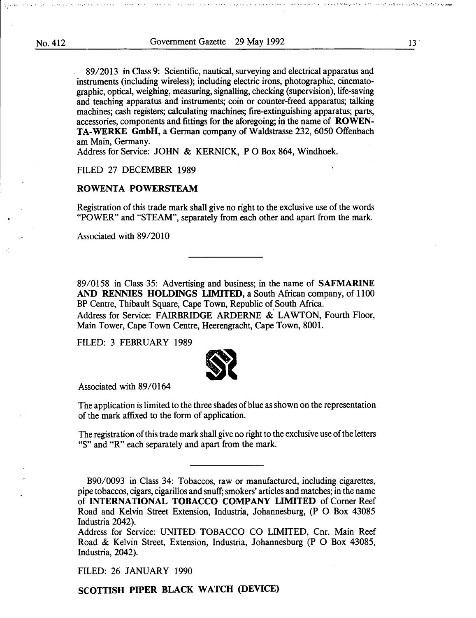:...•'-• OO,O ,o •''••'- ••,o•o.T oo•o *o•O.A* 0 o oo,•.foo o,oo, •••·•••• ·0,0'••'•'·····,•, •. O.'OOo>'oo'o"ooOo''•'···.··· o''oo',',,,:..· .•. ·.·-·.·,·,,•\_'o .. •.'.'o,o.'~

89/2013 in Class 9: Scientific, nautical, surveying and electrical apparatus and instruments (including wireless); including electric irons, photographic, cinematographic, optical, weighing, measuring, signalling, checking (supervision), life-saving and teaching apparatus and instruments; coin or counter-freed apparatus; talking machines; cash registers; calculating machines; fire-extinguishing apparatus; parts, accessories, components and fittings for the aforegoing; in the name of ROWEN-TA-WERKE GmbH, a German company of Waldstrasse 232, 6050 Offenbach am Main, Germany.

Address for Service: JOHN & KERNICK, PO Box 864, Windhoek.

#### FILED 27 DECEMBER 1989

## ROWENTA POWERSTEAM

Registration of this trade mark shall give no right to the exclusive use of the words "POWER" and "STEAM", separately from each other and apart from the mark.

Associated with 89/2010

89/0158 in Class 35: Advertising and business; in the name of SAFMARINE AND RENNIES HOLDINGS LIMITED, a South African company, of 1100 BP Centre, Thibault Square, Cape Town, Republic of South Africa. Address for Service: FAIRBRIDGE ARDERNE & LAWTON, Fourth Floor, Main Tower, Cape Town Centre, Heerengracht, Cape Town, 8001.

FILED: 3 FEBRUARY 1989



Associated with 89/0164

The application is limited to the three shades of blue as shown on the representation of the mark affixed to the form of application.

The registration of this trade mark shall give no right to the exclusive use of the letters "S" and "R" each separately and apart from the mark.

B90/0093 in Class 34: Tobaccos, raw or manufactured, including cigarettes, pipe tobaccos, cigars, cigarillos and snuff; smokers' articles and matches; in the name of INTERNATIONAL TOBACCO COMPANY LIMITED of Comer Reef Road and Kelvin Street Extension, Industria, Johannesburg, (P 0 Box 43085 Industria 2042).

Address for Service: UNITED TOBACCO CO LIMITED, Cnr. Main Reef Road & Kelvin Street, Extension, Industria, Johannesburg (P 0 Box 43085, Industria, 2042).

FILED: 26 JANUARY 1990

SCOTTISH PIPER BLACK WATCH (DEVICE)